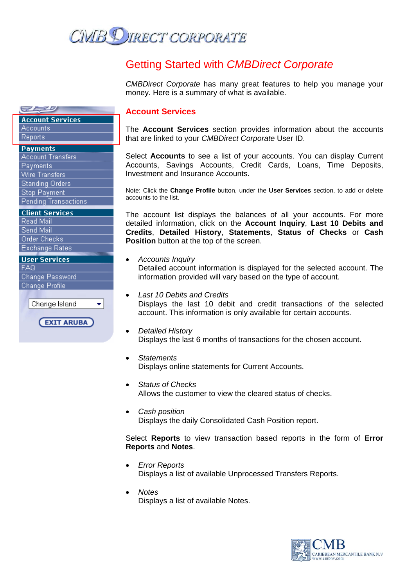

# Getting Started with *CMBDirect Corporate*

*CMBDirect Corporate* has many great features to help you manage your money. Here is a summary of what is available.

#### **Account Services**

The **Account Services** section provides information about the accounts that are linked to your *CMBDirect Corporate* User ID.

Select **Accounts** to see a list of your accounts. You can display Current Accounts, Savings Accounts, Credit Cards, Loans, Time Deposits, Investment and Insurance Accounts.

Note: Click the **Change Profile** button, under the **User Services** section, to add or delete accounts to the list.

The account list displays the balances of all your accounts. For more detailed information, click on the **Account Inquiry**, **Last 10 Debits and Credits**, **Detailed History**, **Statements**, **Status of Checks** or **Cash Position** button at the top of the screen.

- *Accounts Inquiry*  Detailed account information is displayed for the selected account. The information provided will vary based on the type of account.
- *Last 10 Debits and Credits*  Displays the last 10 debit and credit transactions of the selected account. This information is only available for certain accounts.
- *Detailed History*  Displays the last 6 months of transactions for the chosen account.
- *Statements*  Displays online statements for Current Accounts.
- *Status of Checks*  Allows the customer to view the cleared status of checks.
- *Cash position*  Displays the daily Consolidated Cash Position report.

Select **Reports** to view transaction based reports in the form of **Error Reports** and **Notes**.

- *Error Reports*  Displays a list of available Unprocessed Transfers Reports.
- *Notes*  Displays a list of available Notes.



**Account Services** Accounts Reports

#### **Payments**

*ELEB* 

| <b>Account Transfers</b> |
|--------------------------|
| Payments                 |
| <b>Wire Transfers</b>    |
| <b>Standing Orders</b>   |
| <b>Stop Payment</b>      |
| Pending Transactions     |

#### **Client Services**

Read Mail Send Mail Order Checks **Exchange Rates** 

#### **User Services**

FAQ. Change Password Change Profile

Change Island

**EXIT ARUBA**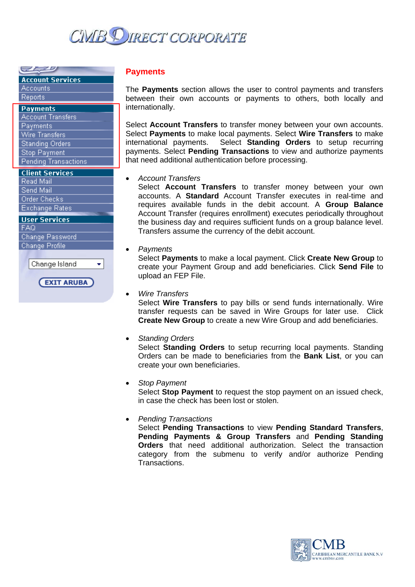

**Account Services** 

Accounts

*ELEB* 

## Reports

| Payments                    |
|-----------------------------|
| <b>Account Transfers</b>    |
| Payments                    |
| <b>Wire Transfers</b>       |
| <b>Standing Orders</b>      |
| <b>Stop Payment</b>         |
| <b>Pending Transactions</b> |

**Client Services** 

Read Mail Send Mail Order Checks **Exchange Rates** 

**Liser Services** 

**FAQ** Change Password Change Profile

> Change Island  $\bullet$

> > **EXIT ARUBA**

#### **Payments**

The **Payments** section allows the user to control payments and transfers between their own accounts or payments to others, both locally and internationally.

Select **Account Transfers** to transfer money between your own accounts. Select **Payments** to make local payments. Select **Wire Transfers** to make international payments. Select **Standing Orders** to setup recurring payments. Select **Pending Transactions** to view and authorize payments that need additional authentication before processing.

• *Account Transfers* 

Select **Account Transfers** to transfer money between your own accounts. A **Standard** Account Transfer executes in real-time and requires available funds in the debit account. A **Group Balance** Account Transfer (requires enrollment) executes periodically throughout the business day and requires sufficient funds on a group balance level. Transfers assume the currency of the debit account.

#### • *Payments*

Select **Payments** to make a local payment. Click **Create New Group** to create your Payment Group and add beneficiaries. Click **Send File** to upload an FEP File.

#### • *Wire Transfers*

Select **Wire Transfers** to pay bills or send funds internationally. Wire transfer requests can be saved in Wire Groups for later use. Click **Create New Group** to create a new Wire Group and add beneficiaries.

• *Standing Orders* 

Select **Standing Orders** to setup recurring local payments. Standing Orders can be made to beneficiaries from the **Bank List**, or you can create your own beneficiaries.

#### • *Stop Payment*

Select **Stop Payment** to request the stop payment on an issued check, in case the check has been lost or stolen.

#### • *Pending Transactions*

Select **Pending Transactions** to view **Pending Standard Transfers**, **Pending Payments & Group Transfers** and **Pending Standing Orders** that need additional authorization. Select the transaction category from the submenu to verify and/or authorize Pending Transactions.